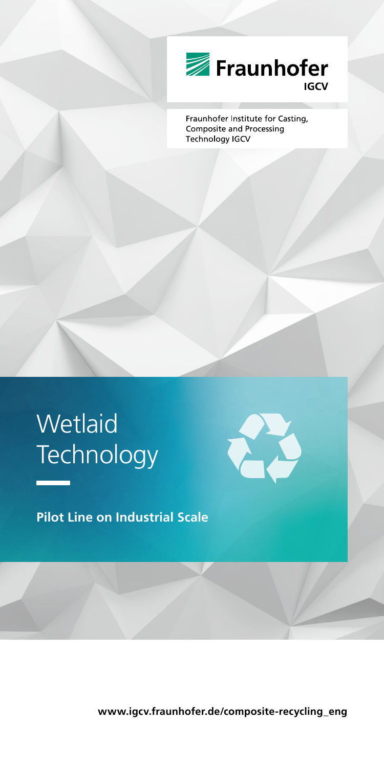

Fraunhofer Institute for Casting, **Composite and Processing** Technology IGCV

# **Wetlaid Technology**

**Pilot Line on Industrial Scale**

**www.igcv.fraunhofer.de/composite-recycling\_eng**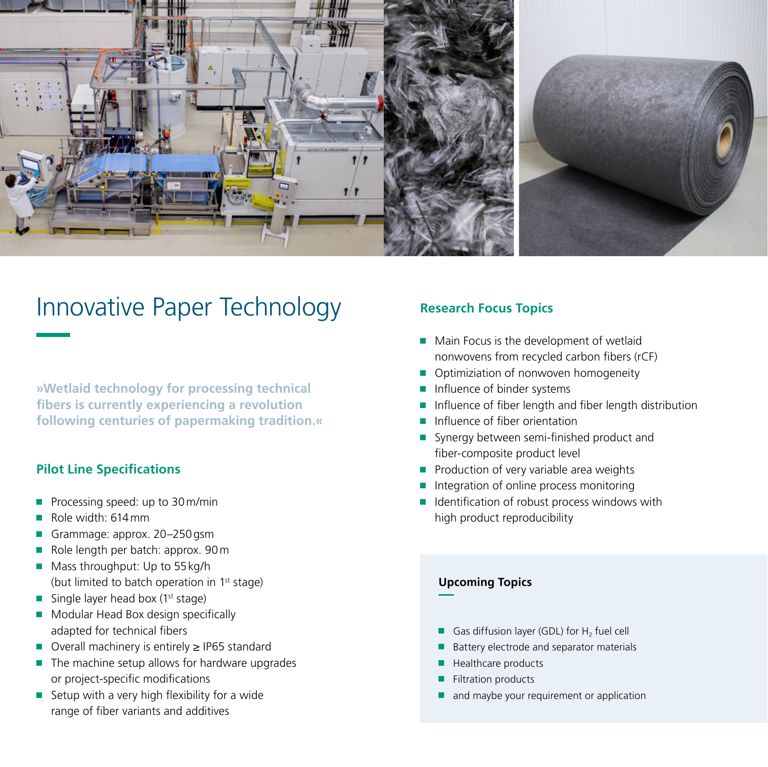

## Innovative Paper Technology

**»Wetlaid technology for processing technical fibers is currently experiencing a revolution following centuries of papermaking tradition.«**

#### **Pilot Line Specifications**

- Processing speed: up to 30m/min L.
- Role width: 614mm ٠
- Grammage: approx. 20–250gsm  $\overline{\phantom{a}}$
- Role length per batch: approx. 90m Ē,
- Mass throughput: Up to 55 kg/h (but limited to batch operation in 1<sup>st</sup> stage)
- Single layer head box ( $1<sup>st</sup> stage$ )
- **Modular Head Box design specifically** adapted for technical fibers
- Overall machinery is entirely ≥ IP65 standard
- $\blacksquare$  The machine setup allows for hardware upgrades or project-specific modifications
- Setup with a very high flexibility for a wide range of fiber variants and additives

### **Research Focus Topics**

- Main Focus is the development of wetlaid nonwovens from recycled carbon fibers (rCF)
- **Optimiziation of nonwoven homogeneity**
- Influence of binder systems
- **Influence of fiber length and fiber length distribution**
- Influence of fiber orientation
- Synergy between semi-finished product and fiber-composite product level
- **Production of very variable area weights**
- $\blacksquare$  Integration of online process monitoring
- $\blacksquare$  Identification of robust process windows with high product reproducibility

#### **Upcoming Topics**

- Gas diffusion layer (GDL) for  $H_2$  fuel cell
- Battery electrode and separator materials
- Healthcare products
- Filtration products
- and maybe your requirement or application